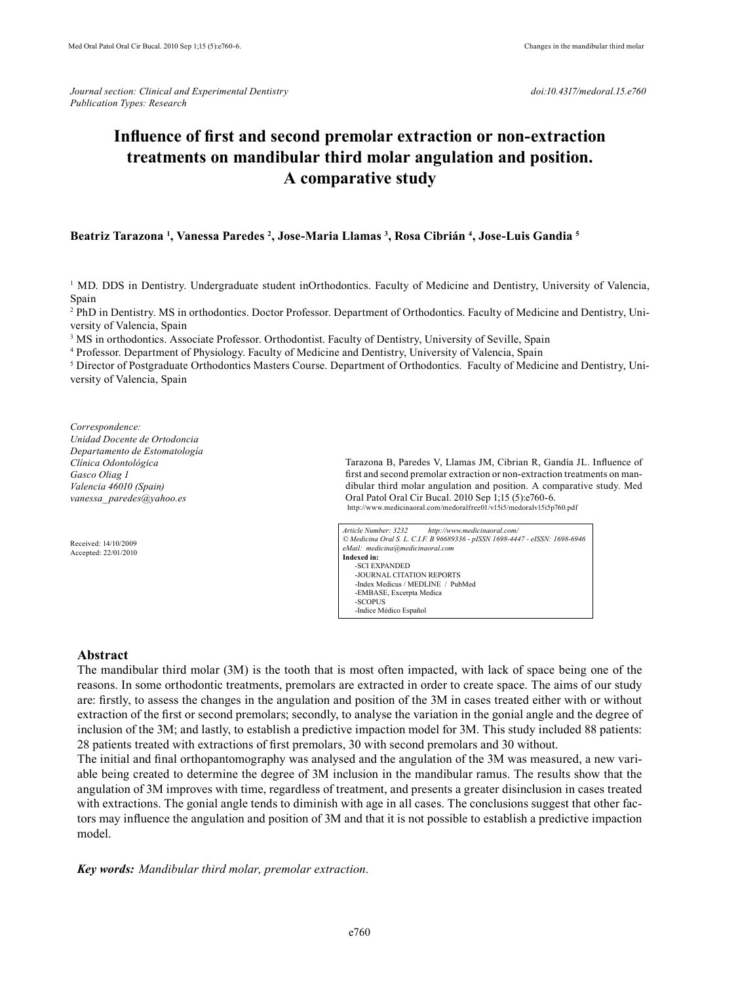# **Influence of first and second premolar extraction or non-extraction treatments on mandibular third molar angulation and position. A comparative study**

## **Beatriz Tarazona <sup>1</sup> , Vanessa Paredes <sup>2</sup> , Jose-Maria Llamas <sup>3</sup> , Rosa Cibrián <sup>4</sup> , Jose-Luis Gandia <sup>5</sup>**

<sup>1</sup> MD. DDS in Dentistry. Undergraduate student inOrthodontics. Faculty of Medicine and Dentistry, University of Valencia, Spain

2 PhD in Dentistry. MS in orthodontics. Doctor Professor. Department of Orthodontics. Faculty of Medicine and Dentistry, University of Valencia, Spain

<sup>3</sup> MS in orthodontics. Associate Professor. Orthodontist. Faculty of Dentistry, University of Seville, Spain

4 Professor. Department of Physiology. Faculty of Medicine and Dentistry, University of Valencia, Spain

<sup>5</sup> Director of Postgraduate Orthodontics Masters Course. Department of Orthodontics. Faculty of Medicine and Dentistry, University of Valencia, Spain

*Correspondence: Unidad Docente de Ortodoncia Departamento de Estomatología Clínica Odontológica Gasco Oliag 1 Valencia 46010 (Spain) vanessa\_ paredes@yahoo.es*

Received: 14/10/2009 Accepted: 22/01/2010 Tarazona B, Paredes V, Llamas JM, Cibrian R, Gandía JL. Influence of first and second premolar extraction or non-extraction treatments on mandibular third molar angulation and position. A comparative study. Med Oral Patol Oral Cir Bucal. 2010 Sep 1;15 (5):e760-6. http://www.medicinaoral.com/medoralfree01/v15i5/medoralv15i5p760.pdf

*Article Number: 3232 http://www.medicinaoral.com/ © Medicina Oral S. L. C.I.F. B 96689336 - pISSN 1698-4447 - eISSN: 1698-6946 eMail: medicina@medicinaoral.com*  **Indexed in:**  -SCI EXPANDED -JOURNAL CITATION REPORTS -Index Medicus / MEDLINE / PubMed -EMBASE, Excerpta Medica -SCOPUS -Indice Médico Español

#### **Abstract**

The mandibular third molar (3M) is the tooth that is most often impacted, with lack of space being one of the reasons. In some orthodontic treatments, premolars are extracted in order to create space. The aims of our study are: firstly, to assess the changes in the angulation and position of the 3M in cases treated either with or without extraction of the first or second premolars; secondly, to analyse the variation in the gonial angle and the degree of inclusion of the 3M; and lastly, to establish a predictive impaction model for 3M. This study included 88 patients: 28 patients treated with extractions of first premolars, 30 with second premolars and 30 without.

The initial and final orthopantomography was analysed and the angulation of the 3M was measured, a new variable being created to determine the degree of 3M inclusion in the mandibular ramus. The results show that the angulation of 3M improves with time, regardless of treatment, and presents a greater disinclusion in cases treated with extractions. The gonial angle tends to diminish with age in all cases. The conclusions suggest that other factors may influence the angulation and position of 3M and that it is not possible to establish a predictive impaction model.

*Key words: Mandibular third molar, premolar extraction.*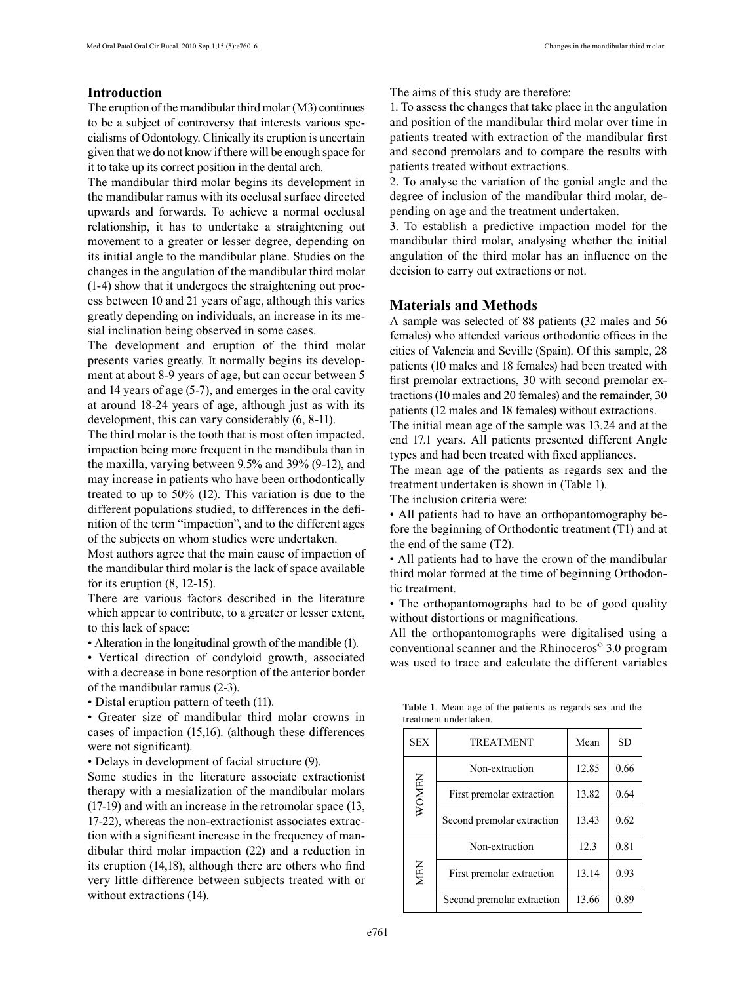## **Introduction**

The eruption of the mandibular third molar (M3) continues to be a subject of controversy that interests various specialisms of Odontology. Clinically its eruption is uncertain given that we do not know if there will be enough space for it to take up its correct position in the dental arch.

The mandibular third molar begins its development in the mandibular ramus with its occlusal surface directed upwards and forwards. To achieve a normal occlusal relationship, it has to undertake a straightening out movement to a greater or lesser degree, depending on its initial angle to the mandibular plane. Studies on the changes in the angulation of the mandibular third molar (1-4) show that it undergoes the straightening out process between 10 and 21 years of age, although this varies greatly depending on individuals, an increase in its mesial inclination being observed in some cases.

The development and eruption of the third molar presents varies greatly. It normally begins its development at about 8-9 years of age, but can occur between 5 and 14 years of age (5-7), and emerges in the oral cavity at around 18-24 years of age, although just as with its development, this can vary considerably (6, 8-11).

The third molar is the tooth that is most often impacted, impaction being more frequent in the mandibula than in the maxilla, varying between 9.5% and 39% (9-12), and may increase in patients who have been orthodontically treated to up to 50% (12). This variation is due to the different populations studied, to differences in the definition of the term "impaction", and to the different ages of the subjects on whom studies were undertaken.

Most authors agree that the main cause of impaction of the mandibular third molar is the lack of space available for its eruption (8, 12-15).

There are various factors described in the literature which appear to contribute, to a greater or lesser extent, to this lack of space:

• Alteration in the longitudinal growth of the mandible (1).

• Vertical direction of condyloid growth, associated with a decrease in bone resorption of the anterior border of the mandibular ramus (2-3).

• Distal eruption pattern of teeth (11).

• Greater size of mandibular third molar crowns in cases of impaction (15,16). (although these differences were not significant).

• Delays in development of facial structure (9).

Some studies in the literature associate extractionist therapy with a mesialization of the mandibular molars (17-19) and with an increase in the retromolar space (13, 17-22), whereas the non-extractionist associates extraction with a significant increase in the frequency of mandibular third molar impaction (22) and a reduction in its eruption (14,18), although there are others who find very little difference between subjects treated with or without extractions (14).

The aims of this study are therefore:

1. To assess the changes that take place in the angulation and position of the mandibular third molar over time in patients treated with extraction of the mandibular first and second premolars and to compare the results with patients treated without extractions.

2. To analyse the variation of the gonial angle and the degree of inclusion of the mandibular third molar, depending on age and the treatment undertaken.

3. To establish a predictive impaction model for the mandibular third molar, analysing whether the initial angulation of the third molar has an influence on the decision to carry out extractions or not.

#### **Materials and Methods**

A sample was selected of 88 patients (32 males and 56 females) who attended various orthodontic offices in the cities of Valencia and Seville (Spain). Of this sample, 28 patients (10 males and 18 females) had been treated with first premolar extractions, 30 with second premolar extractions (10 males and 20 females) and the remainder, 30 patients (12 males and 18 females) without extractions.

The initial mean age of the sample was 13.24 and at the end 17.1 years. All patients presented different Angle types and had been treated with fixed appliances.

The mean age of the patients as regards sex and the treatment undertaken is shown in (Table 1).

The inclusion criteria were:

• All patients had to have an orthopantomography before the beginning of Orthodontic treatment (T1) and at the end of the same (T2).

• All patients had to have the crown of the mandibular third molar formed at the time of beginning Orthodontic treatment.

• The orthopantomographs had to be of good quality without distortions or magnifications.

All the orthopantomographs were digitalised using a conventional scanner and the Rhinoceros© 3.0 program was used to trace and calculate the different variables

| <b>SEX</b> | <b>TREATMENT</b>           | Mean  |      |  |  |  |
|------------|----------------------------|-------|------|--|--|--|
|            | Non-extraction             | 12.85 | 0.66 |  |  |  |
| WOMEN      | First premolar extraction  | 13.82 | 0.64 |  |  |  |
|            | Second premolar extraction | 13.43 | 0.62 |  |  |  |
| MEN        | Non-extraction             | 12.3  | 0.81 |  |  |  |
|            | First premolar extraction  | 13.14 | 0.93 |  |  |  |
|            | Second premolar extraction | 13.66 | 0.89 |  |  |  |

**Table 1***.* Mean age of the patients as regards sex and the treatment undertaken.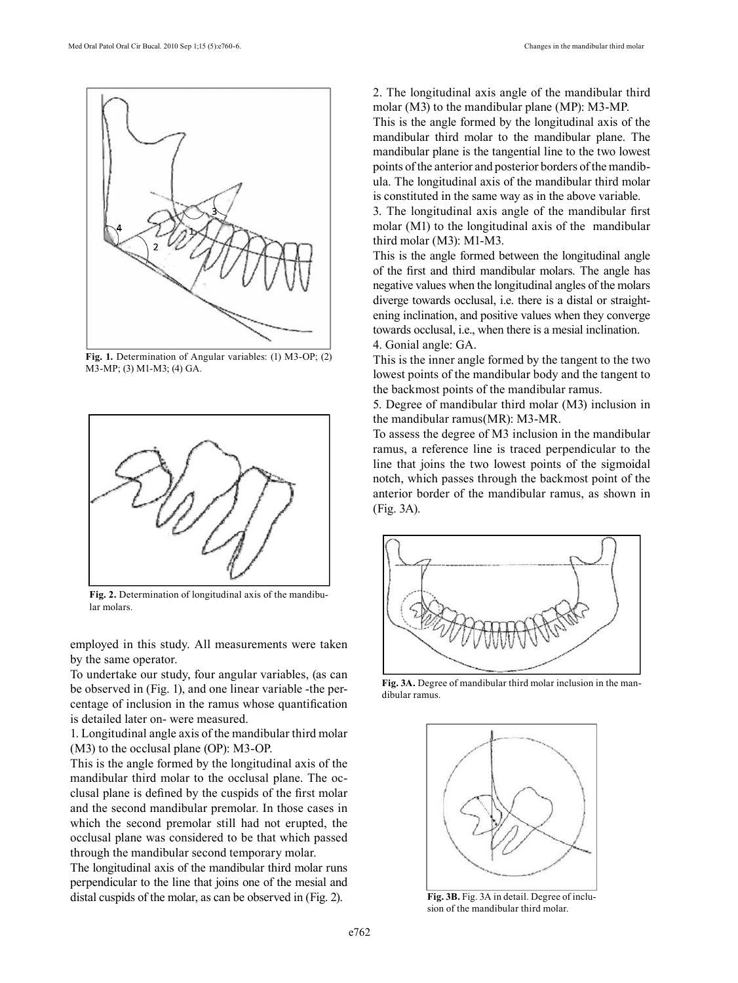

**Fig. 1.** Determination of Angular variables: (1) M3-OP; (2) M3-MP; (3) M1-M3; (4) GA.



**Fig. 2.** Determination of longitudinal axis of the mandibular molars.

employed in this study. All measurements were taken by the same operator.

To undertake our study, four angular variables, (as can be observed in (Fig. 1), and one linear variable -the percentage of inclusion in the ramus whose quantification is detailed later on- were measured.

1. Longitudinal angle axis of the mandibular third molar (M3) to the occlusal plane (OP): M3-OP.

This is the angle formed by the longitudinal axis of the mandibular third molar to the occlusal plane. The occlusal plane is defined by the cuspids of the first molar and the second mandibular premolar. In those cases in which the second premolar still had not erupted, the occlusal plane was considered to be that which passed through the mandibular second temporary molar.

The longitudinal axis of the mandibular third molar runs perpendicular to the line that joins one of the mesial and distal cuspids of the molar, as can be observed in (Fig. 2).

2. The longitudinal axis angle of the mandibular third molar (M3) to the mandibular plane (MP): M3-MP.

This is the angle formed by the longitudinal axis of the mandibular third molar to the mandibular plane. The mandibular plane is the tangential line to the two lowest points of the anterior and posterior borders of the mandibula. The longitudinal axis of the mandibular third molar is constituted in the same way as in the above variable.

3. The longitudinal axis angle of the mandibular first molar (M1) to the longitudinal axis of the mandibular third molar (M3): M1-M3.

This is the angle formed between the longitudinal angle of the first and third mandibular molars. The angle has negative values when the longitudinal angles of the molars diverge towards occlusal, i.e. there is a distal or straightening inclination, and positive values when they converge towards occlusal, i.e., when there is a mesial inclination. 4. Gonial angle: GA.

This is the inner angle formed by the tangent to the two lowest points of the mandibular body and the tangent to the backmost points of the mandibular ramus.

5. Degree of mandibular third molar (M3) inclusion in the mandibular ramus(MR): M3-MR.

To assess the degree of M3 inclusion in the mandibular ramus, a reference line is traced perpendicular to the line that joins the two lowest points of the sigmoidal notch, which passes through the backmost point of the anterior border of the mandibular ramus, as shown in (Fig. 3A).



**Fig. 3A.** Degree of mandibular third molar inclusion in the mandibular ramus.



**Fig. 3B.** Fig. 3A in detail. Degree of inclusion of the mandibular third molar.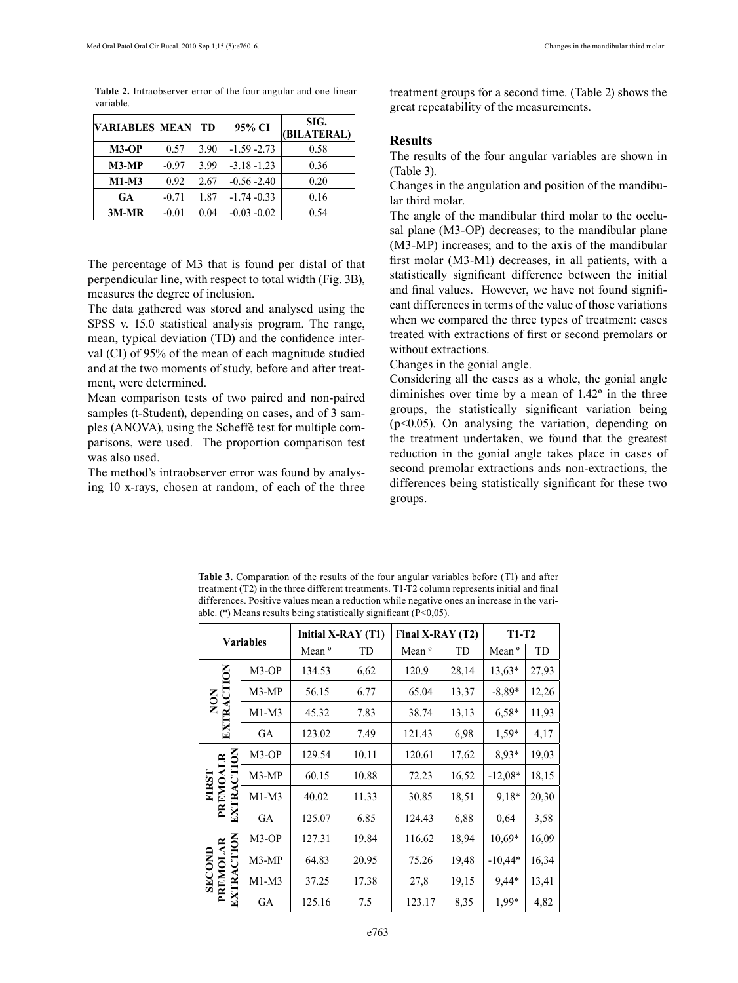**Table 2.** Intraobserver error of the four angular and one linear variable.

| <b>VARIABLES MEAN</b> |         | <b>TD</b> | 95% CI         | SIG.<br>(BILATERAL) |
|-----------------------|---------|-----------|----------------|---------------------|
| $M3-OP$               | 0.57    | 3.90      | $-1.59 - 2.73$ | 0.58                |
| $M3-MP$               | $-0.97$ | 3.99      | $-3.18 - 1.23$ | 0.36                |
| $M1-M3$               | 0.92    | 2.67      | $-0.56 - 2.40$ | 0.20                |
| GA                    | $-0.71$ | 1.87      | $-1.74 - 0.33$ | 0.16                |
| $3M-MR$               | $-0.01$ | 0.04      | $-0.03 - 0.02$ | 0.54                |

The percentage of M3 that is found per distal of that perpendicular line, with respect to total width (Fig. 3B), measures the degree of inclusion.

The data gathered was stored and analysed using the SPSS v. 15.0 statistical analysis program. The range, mean, typical deviation (TD) and the confidence interval (CI) of 95% of the mean of each magnitude studied and at the two moments of study, before and after treatment, were determined.

Mean comparison tests of two paired and non-paired samples (t-Student), depending on cases, and of 3 samples (ANOVA), using the Scheffé test for multiple comparisons, were used. The proportion comparison test was also used.

The method's intraobserver error was found by analysing 10 x-rays, chosen at random, of each of the three treatment groups for a second time. (Table 2) shows the great repeatability of the measurements.

### **Results**

The results of the four angular variables are shown in (Table 3).

Changes in the angulation and position of the mandibular third molar.

The angle of the mandibular third molar to the occlusal plane (M3-OP) decreases; to the mandibular plane (M3-MP) increases; and to the axis of the mandibular first molar (M3-M1) decreases, in all patients, with a statistically significant difference between the initial and final values. However, we have not found significant differences in terms of the value of those variations when we compared the three types of treatment: cases treated with extractions of first or second premolars or without extractions.

Changes in the gonial angle.

Considering all the cases as a whole, the gonial angle diminishes over time by a mean of 1.42º in the three groups, the statistically significant variation being (p<0.05). On analysing the variation, depending on the treatment undertaken, we found that the greatest reduction in the gonial angle takes place in cases of second premolar extractions ands non-extractions, the differences being statistically significant for these two groups.

**Table 3.** Comparation of the results of the four angular variables before (T1) and after treatment (T2) in the three different treatments. T1-T2 column represents initial and final differences. Positive values mean a reduction while negative ones an increase in the variable. (\*) Means results being statistically significant (P<0,05).

| <b>Variables</b>                                       |         | Initial X-RAY (T1) |       | Final X-RAY (T2)  |       | <b>T1-T2</b>      |       |
|--------------------------------------------------------|---------|--------------------|-------|-------------------|-------|-------------------|-------|
|                                                        |         | Mean <sup>o</sup>  | TD    | Mean <sup>o</sup> | TD    | Mean <sup>o</sup> | TD    |
| NON<br>EXTRACTION                                      | M3-OP   | 134.53             | 6,62  | 120.9             | 28,14 | $13,63*$          | 27,93 |
|                                                        | M3-MP   | 56.15              | 6.77  | 65.04             | 13,37 | $-8.89*$          | 12,26 |
|                                                        | $M1-M3$ | 45.32              | 7.83  | 38.74             | 13,13 | $6,58*$           | 11,93 |
|                                                        | GA      | 123.02             | 7.49  | 121.43            | 6.98  | $1.59*$           | 4,17  |
| <b>CTION</b><br>PREMOALR<br><b>FIRST</b><br>ERA<br>EXI | M3-OP   | 129.54             | 10.11 | 120.61            | 17,62 | 8.93*             | 19,03 |
|                                                        | M3-MP   | 60.15              | 10.88 | 72.23             | 16,52 | $-12,08*$         | 18,15 |
|                                                        | $M1-M3$ | 40.02              | 11.33 | 30.85             | 18,51 | 9,18*             | 20,30 |
|                                                        | GA      | 125.07             | 6.85  | 124.43            | 6,88  | 0.64              | 3,58  |
| <b>CTION</b><br>PREMOLAR<br><b>SECOND</b><br>EXTRA     | M3-OP   | 127.31             | 19.84 | 116.62            | 18.94 | 10.69*            | 16,09 |
|                                                        | M3-MP   | 64.83              | 20.95 | 75.26             | 19,48 | $-10.44*$         | 16,34 |
|                                                        | $M1-M3$ | 37.25              | 17.38 | 27,8              | 19,15 | 9,44*             | 13,41 |
|                                                        | GA      | 125.16             | 7.5   | 123.17            | 8,35  | 1,99*             | 4,82  |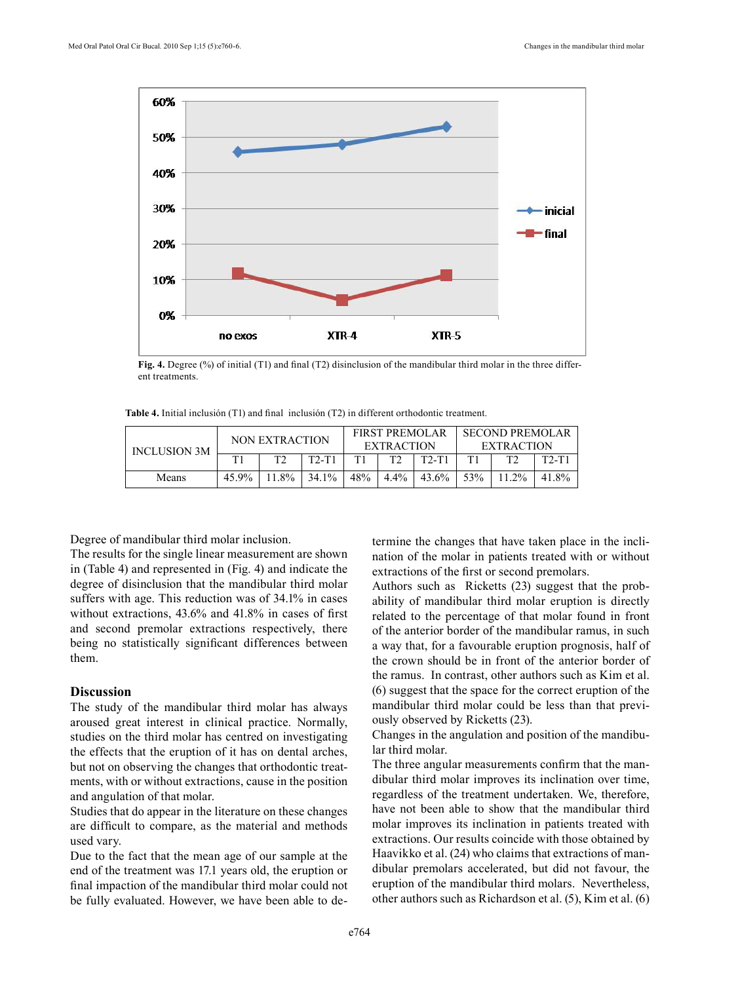

**Fig. 4.** Degree (%) of initial (T1) and final (T2) disinclusion of the mandibular third molar in the three different treatments.

**Table 4.** Initial inclusión (T1) and final inclusión (T2) in different orthodontic treatment.

| <b>INCLUSION 3M</b> | NON EXTRACTION |              |         | <b>FIRST PREMOLAR</b><br><b>EXTRACTION</b> |              |         | <b>SECOND PREMOLAR</b><br><b>EXTRACTION</b> |       |         |
|---------------------|----------------|--------------|---------|--------------------------------------------|--------------|---------|---------------------------------------------|-------|---------|
|                     | T1             | $T^{\prime}$ | $T2-T1$ | T1                                         | $T^{\prime}$ | $T2-T1$ |                                             |       | $T2-T1$ |
| Means               | 45.9%          | $11.8\%$     | 34.1%   | 48%                                        | $4.4\%$      | 43.6%   | 53%                                         | 11 2% | 41.8%   |

Degree of mandibular third molar inclusion.

The results for the single linear measurement are shown in (Table 4) and represented in (Fig. 4) and indicate the degree of disinclusion that the mandibular third molar suffers with age. This reduction was of 34.1% in cases without extractions, 43.6% and 41.8% in cases of first and second premolar extractions respectively, there being no statistically significant differences between them.

#### **Discussion**

The study of the mandibular third molar has always aroused great interest in clinical practice. Normally, studies on the third molar has centred on investigating the effects that the eruption of it has on dental arches, but not on observing the changes that orthodontic treatments, with or without extractions, cause in the position and angulation of that molar.

Studies that do appear in the literature on these changes are difficult to compare, as the material and methods used vary.

Due to the fact that the mean age of our sample at the end of the treatment was 17.1 years old, the eruption or final impaction of the mandibular third molar could not be fully evaluated. However, we have been able to determine the changes that have taken place in the inclination of the molar in patients treated with or without extractions of the first or second premolars.

Authors such as Ricketts (23) suggest that the probability of mandibular third molar eruption is directly related to the percentage of that molar found in front of the anterior border of the mandibular ramus, in such a way that, for a favourable eruption prognosis, half of the crown should be in front of the anterior border of the ramus. In contrast, other authors such as Kim et al. (6) suggest that the space for the correct eruption of the mandibular third molar could be less than that previously observed by Ricketts (23).

Changes in the angulation and position of the mandibular third molar.

The three angular measurements confirm that the mandibular third molar improves its inclination over time, regardless of the treatment undertaken. We, therefore, have not been able to show that the mandibular third molar improves its inclination in patients treated with extractions. Our results coincide with those obtained by Haavikko et al. (24) who claims that extractions of mandibular premolars accelerated, but did not favour, the eruption of the mandibular third molars. Nevertheless, other authors such as Richardson et al. (5), Kim et al. (6)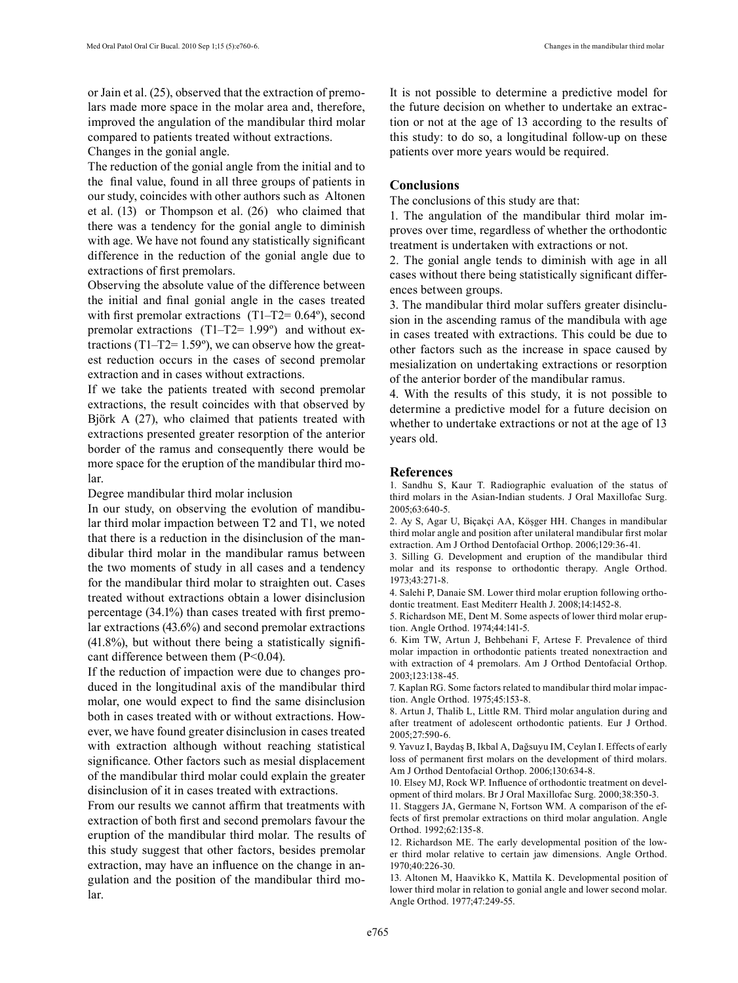or Jain et al. (25), observed that the extraction of premolars made more space in the molar area and, therefore, improved the angulation of the mandibular third molar compared to patients treated without extractions. Changes in the gonial angle.

The reduction of the gonial angle from the initial and to the final value, found in all three groups of patients in our study, coincides with other authors such as Altonen et al. (13) or Thompson et al. (26) who claimed that there was a tendency for the gonial angle to diminish with age. We have not found any statistically significant difference in the reduction of the gonial angle due to extractions of first premolars.

Observing the absolute value of the difference between the initial and final gonial angle in the cases treated with first premolar extractions  $(T1-T2= 0.64^{\circ})$ , second premolar extractions (T1–T2= 1.99º) and without extractions (T1–T2=  $1.59^{\circ}$ ), we can observe how the greatest reduction occurs in the cases of second premolar extraction and in cases without extractions.

If we take the patients treated with second premolar extractions, the result coincides with that observed by Björk A (27), who claimed that patients treated with extractions presented greater resorption of the anterior border of the ramus and consequently there would be more space for the eruption of the mandibular third molar.

Degree mandibular third molar inclusion

In our study, on observing the evolution of mandibular third molar impaction between T2 and T1, we noted that there is a reduction in the disinclusion of the mandibular third molar in the mandibular ramus between the two moments of study in all cases and a tendency for the mandibular third molar to straighten out. Cases treated without extractions obtain a lower disinclusion percentage (34.1%) than cases treated with first premolar extractions (43.6%) and second premolar extractions  $(41.8\%)$ , but without there being a statistically significant difference between them  $(P<0.04)$ .

If the reduction of impaction were due to changes produced in the longitudinal axis of the mandibular third molar, one would expect to find the same disinclusion both in cases treated with or without extractions. However, we have found greater disinclusion in cases treated with extraction although without reaching statistical significance. Other factors such as mesial displacement of the mandibular third molar could explain the greater disinclusion of it in cases treated with extractions.

From our results we cannot affirm that treatments with extraction of both first and second premolars favour the eruption of the mandibular third molar. The results of this study suggest that other factors, besides premolar extraction, may have an influence on the change in angulation and the position of the mandibular third molar.

It is not possible to determine a predictive model for the future decision on whether to undertake an extraction or not at the age of 13 according to the results of this study: to do so, a longitudinal follow-up on these patients over more years would be required.

### **Conclusions**

The conclusions of this study are that:

1. The angulation of the mandibular third molar improves over time, regardless of whether the orthodontic treatment is undertaken with extractions or not.

2. The gonial angle tends to diminish with age in all cases without there being statistically significant differences between groups.

3. The mandibular third molar suffers greater disinclusion in the ascending ramus of the mandibula with age in cases treated with extractions. This could be due to other factors such as the increase in space caused by mesialization on undertaking extractions or resorption of the anterior border of the mandibular ramus.

4. With the results of this study, it is not possible to determine a predictive model for a future decision on whether to undertake extractions or not at the age of 13 years old.

#### **References**

1. Sandhu S, Kaur T. Radiographic evaluation of the status of third molars in the Asian-Indian students. J Oral Maxillofac Surg. 2005;63:640-5.

2. Ay S, Agar U, Biçakçi AA, Köşger HH. Changes in mandibular third molar angle and position after unilateral mandibular first molar extraction. Am J Orthod Dentofacial Orthop. 2006;129:36-41.

3. Silling G. Development and eruption of the mandibular third molar and its response to orthodontic therapy. Angle Orthod. 1973;43:271-8.

4. Salehi P, Danaie SM. Lower third molar eruption following orthodontic treatment. East Mediterr Health J. 2008;14:1452-8.

5. Richardson ME, Dent M. Some aspects of lower third molar eruption. Angle Orthod. 1974;44:141-5.

6. Kim TW, Artun J, Behbehani F, Artese F. Prevalence of third molar impaction in orthodontic patients treated nonextraction and with extraction of 4 premolars. Am J Orthod Dentofacial Orthop. 2003;123:138-45.

7. Kaplan RG. Some factors related to mandibular third molar impaction. Angle Orthod. 1975;45:153-8.

8. Artun J, Thalib L, Little RM. Third molar angulation during and after treatment of adolescent orthodontic patients. Eur J Orthod. 2005;27:590-6.

9. Yavuz I, Baydaş B, Ikbal A, Dağsuyu IM, Ceylan I. Effects of early loss of permanent first molars on the development of third molars. Am J Orthod Dentofacial Orthop. 2006;130:634-8.

10. Elsey MJ, Rock WP. Influence of orthodontic treatment on development of third molars. Br J Oral Maxillofac Surg. 2000;38:350-3.

11. Staggers JA, Germane N, Fortson WM. A comparison of the effects of first premolar extractions on third molar angulation. Angle Orthod. 1992;62:135-8.

12. Richardson ME. The early developmental position of the lower third molar relative to certain jaw dimensions. Angle Orthod. 1970;40:226-30.

13. Altonen M, Haavikko K, Mattila K. Developmental position of lower third molar in relation to gonial angle and lower second molar. Angle Orthod. 1977;47:249-55.